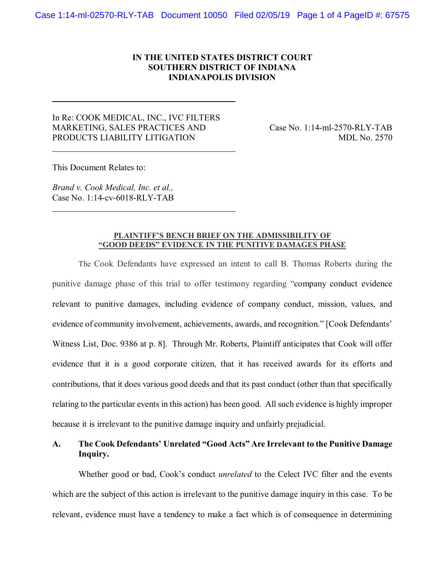### **IN THE UNITED STATES DISTRICT COURT SOUTHERN DISTRICT OF INDIANA INDIANAPOLIS DIVISION**

### In Re: COOK MEDICAL, INC., IVC FILTERS MARKETING, SALES PRACTICES AND Case No. 1:14-ml-2570-RLY-TAB PRODUCTS LIABILITY LITIGATION MDL No. 2570

This Document Relates to:

*Brand v. Cook Medical, Inc. et al.,* Case No. 1:14-cv-6018-RLY-TAB

#### **PLAINTIFF'S BENCH BRIEF ON THE ADMISSIBILITY OF "GOOD DEEDS" EVIDENCE IN THE PUNITIVE DAMAGES PHASE**

The Cook Defendants have expressed an intent to call B. Thomas Roberts during the punitive damage phase of this trial to offer testimony regarding "company conduct evidence relevant to punitive damages, including evidence of company conduct, mission, values, and evidence of community involvement, achievements, awards, and recognition." [Cook Defendants' Witness List, Doc. 9386 at p. 8]. Through Mr. Roberts, Plaintiff anticipates that Cook will offer evidence that it is a good corporate citizen, that it has received awards for its efforts and contributions, that it does various good deeds and that its past conduct (other than that specifically relating to the particular events in this action) has been good. All such evidence is highly improper because it is irrelevant to the punitive damage inquiry and unfairly prejudicial.

## **A. The Cook Defendants' Unrelated "Good Acts" Are Irrelevant to the Punitive Damage Inquiry.**

Whether good or bad, Cook's conduct *unrelated* to the Celect IVC filter and the events which are the subject of this action is irrelevant to the punitive damage inquiry in this case. To be relevant, evidence must have a tendency to make a fact which is of consequence in determining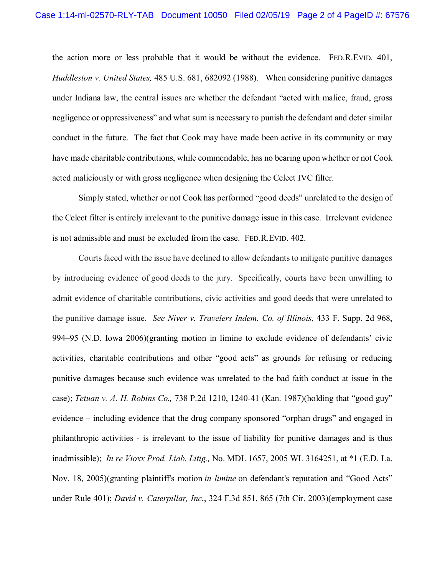the action more or less probable that it would be without the evidence. FED.R.EVID. 401, *Huddleston v. United States,* 485 U.S. 681, 682092 (1988). When considering punitive damages under Indiana law, the central issues are whether the defendant "acted with malice, fraud, gross negligence or oppressiveness" and what sum is necessary to punish the defendant and deter similar conduct in the future. The fact that Cook may have made been active in its community or may have made charitable contributions, while commendable, has no bearing upon whether or not Cook acted maliciously or with gross negligence when designing the Celect IVC filter.

Simply stated, whether or not Cook has performed "good deeds" unrelated to the design of the Celect filter is entirely irrelevant to the punitive damage issue in this case. Irrelevant evidence is not admissible and must be excluded from the case. FED.R.EVID. 402.

Courts faced with the issue have declined to allow defendants to mitigate punitive damages by introducing evidence of good deeds to the jury. Specifically, courts have been unwilling to admit evidence of charitable contributions, civic activities and good deeds that were unrelated to the punitive damage issue. *See Niver v. Travelers Indem. Co. of Illinois,* 433 F. Supp. 2d 968, 994–95 (N.D. Iowa 2006)(granting motion in limine to exclude evidence of defendants' civic activities, charitable contributions and other "good acts" as grounds for refusing or reducing punitive damages because such evidence was unrelated to the bad faith conduct at issue in the case); *Tetuan v. A. H. Robins Co.,* 738 P.2d 1210, 1240-41 (Kan. 1987)(holding that "good guy" evidence – including evidence that the drug company sponsored "orphan drugs" and engaged in philanthropic activities - is irrelevant to the issue of liability for punitive damages and is thus inadmissible); *In re Vioxx Prod. Liab. Litig.,* [No. MDL 1657, 2005 WL 3164251, at \\*1 \(E.D. La.](https://1.next.westlaw.com/Link/Document/FullText?findType=Y&serNum=2007768900&pubNum=0000999&originatingDoc=I596355af9fc511df9b8c850332338889&refType=RP&originationContext=document&transitionType=DocumentItem&contextData=(sc.Search))  [Nov. 18, 2005\)\(](https://1.next.westlaw.com/Link/Document/FullText?findType=Y&serNum=2007768900&pubNum=0000999&originatingDoc=I596355af9fc511df9b8c850332338889&refType=RP&originationContext=document&transitionType=DocumentItem&contextData=(sc.Search))granting plaintiff's motion *in limine* on defendant's reputation and "Good Acts" under Rule 401); *David v. Caterpillar, Inc.*[, 324 F.3d 851, 865 \(7th Cir. 2003\)\(](https://1.next.westlaw.com/Link/Document/FullText?findType=Y&serNum=2003234139&pubNum=0000506&originatingDoc=I596355af9fc511df9b8c850332338889&refType=RP&fi=co_pp_sp_506_865&originationContext=document&transitionType=DocumentItem&contextData=(sc.Search)#co_pp_sp_506_865)employment case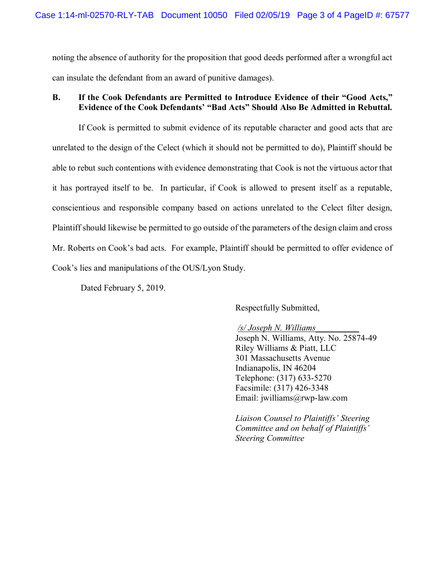noting the absence of authority for the proposition that good deeds performed after a wrongful act can insulate the defendant from an award of punitive damages).

## **B. If the Cook Defendants are Permitted to Introduce Evidence of their "Good Acts," Evidence of the Cook Defendants' "Bad Acts" Should Also Be Admitted in Rebuttal.**

If Cook is permitted to submit evidence of its reputable character and good acts that are unrelated to the design of the Celect (which it should not be permitted to do), Plaintiff should be able to rebut such contentions with evidence demonstrating that Cook is not the virtuous actor that it has portrayed itself to be. In particular, if Cook is allowed to present itself as a reputable, conscientious and responsible company based on actions unrelated to the Celect filter design, Plaintiff should likewise be permitted to go outside of the parameters of the design claim and cross Mr. Roberts on Cook's bad acts. For example, Plaintiff should be permitted to offer evidence of Cook's lies and manipulations of the OUS/Lyon Study.

Dated February 5, 2019.

Respectfully Submitted,

#### */s/ Joseph N. Williams\_\_\_\_\_\_\_\_\_\_*

Joseph N. Williams, Atty. No. 25874-49 Riley Williams & Piatt, LLC 301 Massachusetts Avenue Indianapolis, IN 46204 Telephone: (317) 633-5270 Facsimile: (317) 426-3348 Email: jwilliams@rwp-law.com

*Liaison Counsel to Plaintiffs' Steering Committee and on behalf of Plaintiffs' Steering Committee*